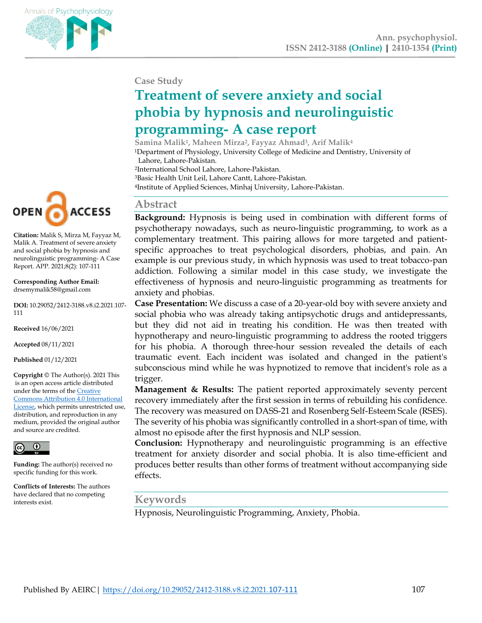

#### **Case Study**

# **Treatment of severe anxiety and social phobia by hypnosis and neurolinguistic programming- A case report**

**Samina Malik<sup>1</sup> , Maheen Mirza<sup>2</sup> , Fayyaz Ahmad<sup>3</sup> , Arif Malik<sup>4</sup>** <sup>1</sup>Department of Physiology, University College of Medicine and Dentistry, University of Lahore, Lahore-Pakistan.

<sup>2</sup>International School Lahore, Lahore-Pakistan.

<sup>3</sup>Basic Health Unit Leil, Lahore Cantt, Lahore-Pakistan.

<sup>4</sup>Institute of Applied Sciences, Minhaj University, Lahore-Pakistan.

#### **Abstract**

**Background:** Hypnosis is being used in combination with different forms of psychotherapy nowadays, such as neuro-linguistic programming, to work as a complementary treatment. This pairing allows for more targeted and patientspecific approaches to treat psychological disorders, phobias, and pain. An example is our previous study, in which hypnosis was used to treat tobacco-pan addiction. Following a similar model in this case study, we investigate the effectiveness of hypnosis and neuro-linguistic programming as treatments for anxiety and phobias.

**Case Presentation:** We discuss a case of a 20-year-old boy with severe anxiety and social phobia who was already taking antipsychotic drugs and antidepressants, but they did not aid in treating his condition. He was then treated with hypnotherapy and neuro-linguistic programming to address the rooted triggers for his phobia. A thorough three-hour session revealed the details of each traumatic event. Each incident was isolated and changed in the patient's subconscious mind while he was hypnotized to remove that incident's role as a trigger.

**Management & Results:** The patient reported approximately seventy percent recovery immediately after the first session in terms of rebuilding his confidence. The recovery was measured on DASS-21 and Rosenberg Self-Esteem Scale (RSES). The severity of his phobia was significantly controlled in a short-span of time, with almost no episode after the first hypnosis and NLP session.

**Conclusion:** Hypnotherapy and neurolinguistic programming is an effective treatment for anxiety disorder and social phobia. It is also time-efficient and produces better results than other forms of treatment without accompanying side effects.

## **Keywords**

Hypnosis, Neurolinguistic Programming, Anxiety, Phobia.



**Citation:** Malik S, Mirza M, Fayyaz M, Malik A. Treatment of severe anxiety and social phobia by hypnosis and neurolinguistic programming- A Case Report. APP. 2021;8(2): 107-111

**Corresponding Author Email:** drsemymalik58@gmail.com

**DOI:** 10.29052/2412-3188.v8.i2.2021.107- 111

**Received** 16/06/2021

**Accepted** 08/11/2021

**Published** 01/12/2021

**Copyright** © The Author(s). 2021 This is an open access article distributed under the terms of the [Creative](http://creativecommons.org/licenses/by/4.0/))  [Commons Attribution 4.0 International](http://creativecommons.org/licenses/by/4.0/))  [License,](http://creativecommons.org/licenses/by/4.0/)) which permits unrestricted use, distribution, and reproduction in any medium, provided the original author and source are credited.



**Funding:** The author(s) received no specific funding for this work.

**Conflicts of Interests:** The authors have declared that no competing interests exist.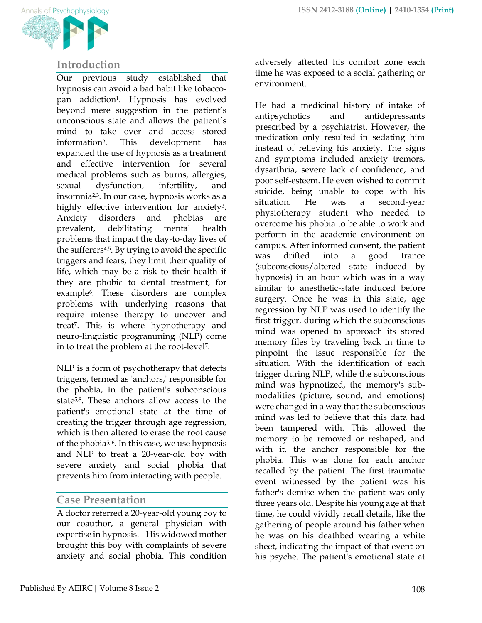

## **Introduction**

Our previous study established that hypnosis can avoid a bad habit like tobaccopan addiction1. Hypnosis has evolved beyond mere suggestion in the patient's unconscious state and allows the patient's mind to take over and access stored information2. This development has expanded the use of hypnosis as a treatment and effective intervention for several medical problems such as burns, allergies, sexual dysfunction, infertility, and insomnia<sup>2,3</sup>. In our case, hypnosis works as a highly effective intervention for anxiety3. Anxiety disorders and phobias are prevalent, debilitating mental health problems that impact the day-to-day lives of the sufferers<sup>4,5</sup>. By trying to avoid the specific triggers and fears, they limit their quality of life, which may be a risk to their health if they are phobic to dental treatment, for example6. These disorders are complex problems with underlying reasons that require intense therapy to uncover and treat7. This is where hypnotherapy and neuro-linguistic programming (NLP) come in to treat the problem at the root-level7.

NLP is a form of psychotherapy that detects triggers, termed as 'anchors,' responsible for the phobia, in the patient's subconscious state5,8. These anchors allow access to the patient's emotional state at the time of creating the trigger through age regression, which is then altered to erase the root cause of the phobia5, 6. In this case, we use hypnosis and NLP to treat a 20-year-old boy with severe anxiety and social phobia that prevents him from interacting with people.

## **Case Presentation**

A doctor referred a 20-year-old young boy to our coauthor, a general physician with expertise in hypnosis. His widowed mother brought this boy with complaints of severe anxiety and social phobia. This condition adversely affected his comfort zone each time he was exposed to a social gathering or environment.

He had a medicinal history of intake of antipsychotics and antidepressants prescribed by a psychiatrist. However, the medication only resulted in sedating him instead of relieving his anxiety. The signs and symptoms included anxiety tremors, dysarthria, severe lack of confidence, and poor self-esteem. He even wished to commit suicide, being unable to cope with his situation. He was a second-year physiotherapy student who needed to overcome his phobia to be able to work and perform in the academic environment on campus. After informed consent, the patient was drifted into a good trance (subconscious/altered state induced by hypnosis) in an hour which was in a way similar to anesthetic-state induced before surgery. Once he was in this state, age regression by NLP was used to identify the first trigger, during which the subconscious mind was opened to approach its stored memory files by traveling back in time to pinpoint the issue responsible for the situation. With the identification of each trigger during NLP, while the subconscious mind was hypnotized, the memory's submodalities (picture, sound, and emotions) were changed in a way that the subconscious mind was led to believe that this data had been tampered with. This allowed the memory to be removed or reshaped, and with it, the anchor responsible for the phobia. This was done for each anchor recalled by the patient. The first traumatic event witnessed by the patient was his father's demise when the patient was only three years old. Despite his young age at that time, he could vividly recall details, like the gathering of people around his father when he was on his deathbed wearing a white sheet, indicating the impact of that event on his psyche. The patient's emotional state at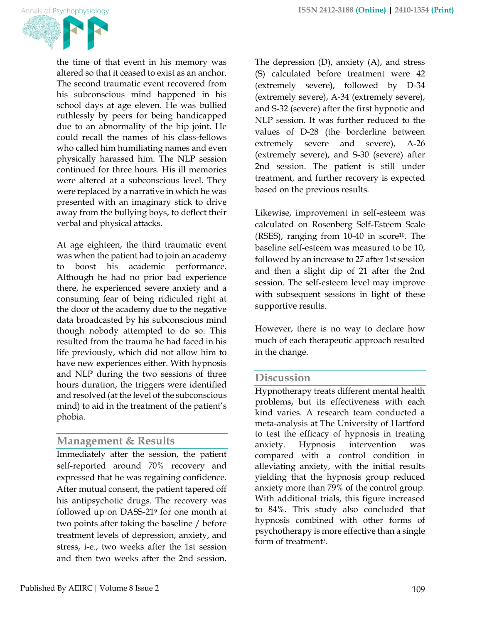

the time of that event in his memory was altered so that it ceased to exist as an anchor. The second traumatic event recovered from his subconscious mind happened in his school days at age eleven. He was bullied ruthlessly by peers for being handicapped due to an abnormality of the hip joint. He could recall the names of his class-fellows who called him humiliating names and even physically harassed him. The NLP session continued for three hours. His ill memories were altered at a subconscious level. They were replaced by a narrative in which he was presented with an imaginary stick to drive away from the bullying boys, to deflect their verbal and physical attacks.

At age eighteen, the third traumatic event was when the patient had to join an academy to boost his academic performance. Although he had no prior bad experience there, he experienced severe anxiety and a consuming fear of being ridiculed right at the door of the academy due to the negative data broadcasted by his subconscious mind though nobody attempted to do so. This resulted from the trauma he had faced in his life previously, which did not allow him to have new experiences either. With hypnosis and NLP during the two sessions of three hours duration, the triggers were identified and resolved (at the level of the subconscious mind) to aid in the treatment of the patient's phobia.

# **Management & Results**

Immediately after the session, the patient self-reported around 70% recovery and expressed that he was regaining confidence. After mutual consent, the patient tapered off his antipsychotic drugs. The recovery was followed up on DASS-21<sup>9</sup> for one month at two points after taking the baseline / before treatment levels of depression, anxiety, and stress, i-e., two weeks after the 1st session and then two weeks after the 2nd session.

The depression (D), anxiety (A), and stress (S) calculated before treatment were 42 (extremely severe), followed by D-34 (extremely severe), A-34 (extremely severe), and S-32 (severe) after the first hypnotic and NLP session. It was further reduced to the values of D-28 (the borderline between extremely severe and severe), A-26 (extremely severe), and S-30 (severe) after 2nd session. The patient is still under treatment, and further recovery is expected based on the previous results.

Likewise, improvement in self-esteem was calculated on Rosenberg Self-Esteem Scale (RSES), ranging from 10-40 in score<sup>10</sup>. The baseline self-esteem was measured to be 10, followed by an increase to 27 after 1st session and then a slight dip of 21 after the 2nd session. The self-esteem level may improve with subsequent sessions in light of these supportive results.

However, there is no way to declare how much of each therapeutic approach resulted in the change.

## **Discussion**

Hypnotherapy treats different mental health problems, but its effectiveness with each kind varies. A research team conducted a meta-analysis at The University of Hartford to test the efficacy of hypnosis in treating anxiety. Hypnosis intervention was compared with a control condition in alleviating anxiety, with the initial results yielding that the hypnosis group reduced anxiety more than 79% of the control group. With additional trials, this figure increased to 84%. This study also concluded that hypnosis combined with other forms of psychotherapy is more effective than a single form of treatment<sup>3</sup>.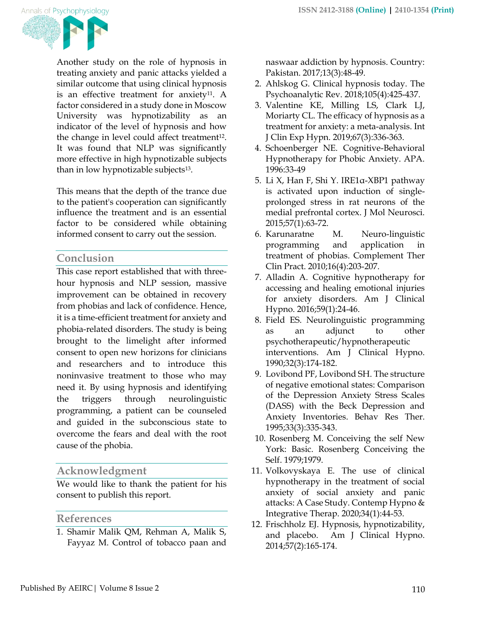

Another study on the role of hypnosis in treating anxiety and panic attacks yielded a similar outcome that using clinical hypnosis is an effective treatment for anxiety<sup>11</sup>. A factor considered in a study done in Moscow University was hypnotizability as an indicator of the level of hypnosis and how the change in level could affect treatment<sup>12</sup>. It was found that NLP was significantly more effective in high hypnotizable subjects than in low hypnotizable subjects<sup>13</sup>.

This means that the depth of the trance due to the patient's cooperation can significantly influence the treatment and is an essential factor to be considered while obtaining informed consent to carry out the session.

## **Conclusion**

This case report established that with threehour hypnosis and NLP session, massive improvement can be obtained in recovery from phobias and lack of confidence. Hence, it is a time-efficient treatment for anxiety and phobia-related disorders. The study is being brought to the limelight after informed consent to open new horizons for clinicians and researchers and to introduce this noninvasive treatment to those who may need it. By using hypnosis and identifying the triggers through neurolinguistic programming, a patient can be counseled and guided in the subconscious state to overcome the fears and deal with the root cause of the phobia.

# **Acknowledgment**

We would like to thank the patient for his consent to publish this report.

## **References**

1. Shamir Malik QM, Rehman A, Malik S, Fayyaz M. Control of tobacco paan and naswaar addiction by hypnosis. Country: Pakistan. 2017;13(3):48-49.

- 2. Ahlskog G. Clinical hypnosis today. The Psychoanalytic Rev. 2018;105(4):425-437.
- 3. Valentine KE, Milling LS, Clark LJ, Moriarty CL. The efficacy of hypnosis as a treatment for anxiety: a meta-analysis. Int J Clin Exp Hypn. 2019;67(3):336-363.
- 4. Schoenberger NE. Cognitive-Behavioral Hypnotherapy for Phobic Anxiety. APA. 1996:33-49
- 5. Li X, Han F, Shi Y. IRE1α-XBP1 pathway is activated upon induction of singleprolonged stress in rat neurons of the medial prefrontal cortex. J Mol Neurosci. 2015;57(1):63-72.
- 6. Karunaratne M. Neuro-linguistic programming and application in treatment of phobias. Complement Ther Clin Pract. 2010;16(4):203-207.
- 7. Alladin A. Cognitive hypnotherapy for accessing and healing emotional injuries for anxiety disorders. Am J Clinical Hypno. 2016;59(1):24-46.
- 8. Field ES. Neurolinguistic programming as an adjunct to other psychotherapeutic/hypnotherapeutic interventions. Am J Clinical Hypno. 1990;32(3):174-182.
- 9. Lovibond PF, Lovibond SH. The structure of negative emotional states: Comparison of the Depression Anxiety Stress Scales (DASS) with the Beck Depression and Anxiety Inventories. Behav Res Ther. 1995;33(3):335-343.
- 10. Rosenberg M. Conceiving the self New York: Basic. Rosenberg Conceiving the Self. 1979;1979.
- 11. Volkovyskaya E. The use of clinical hypnotherapy in the treatment of social anxiety of social anxiety and panic attacks: A Case Study. Contemp Hypno & Integrative Therap. 2020;34(1):44-53.
- 12. Frischholz EJ. Hypnosis, hypnotizability, and placebo. Am J Clinical Hypno. 2014;57(2):165-174.